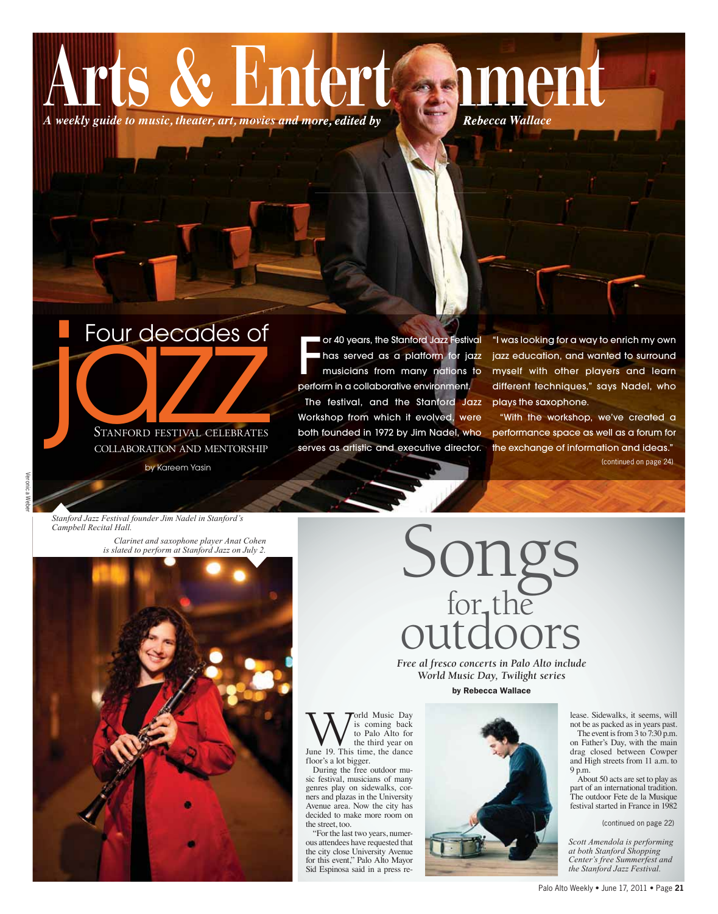



STANFORD FESTIVAL CELEBRATES COLLABORATION AND MENTORSHIP

by Kareem Yasin

or 40 years, the Stanford Jazz Festival has served as a platform for jazz musicians from many nations to perform in a collaborative environment. The festival, and the Stanford Jazz Workshop from which it evolved, were both founded in 1972 by Jim Nadel, who serves as artistic and executive director.

"I was looking for a way to enrich my own jazz education, and wanted to surround myself with other players and learn different techniques," says Nadel, who plays the saxophone.

"With the workshop, we've created a performance space as well as a forum for the exchange of information and ideas." (continued on page 24)

Stanford Jazz Festival founder Jim Nadel in Stanford's Campbell Recital Hall.

> Clarinet and saxophone player Anat Cohen is slated to perform at Stanford Jazz on July 2.



# Songs<br>for, the outdoors

Free al fresco concerts in Palo Alto include World Music Day, Twilight series by Rebecca Wallace

orld Music Day is coming back to Palo Alto for the third year on June 19. This time, the dance floor's a lot bigger.

During the free outdoor music festival, musicians of many genres play on sidewalks, corners and plazas in the University Avenue area. Now the city has decided to make more room on the street, too.

"For the last two years, numerous attendees have requested that the city close University Avenue for this event," Palo Alto Mayor Sid Espinosa said in a press re-



lease. Sidewalks, it seems, will not be as packed as in years past. The event is from  $3 \text{ to } 7:30 \text{ p.m.}$ on Father's Day, with the main drag closed between Cowper and High streets from 11 a.m. to 9 p.m.

About 50 acts are set to play as part of an international tradition. The outdoor Fete de la Musique festival started in France in 1982

(continued on page 22)

Scott Amendola is performing<br>at both Stanford Shopping Center's free Summerfest and<br>the Stanford Jazz Festival.